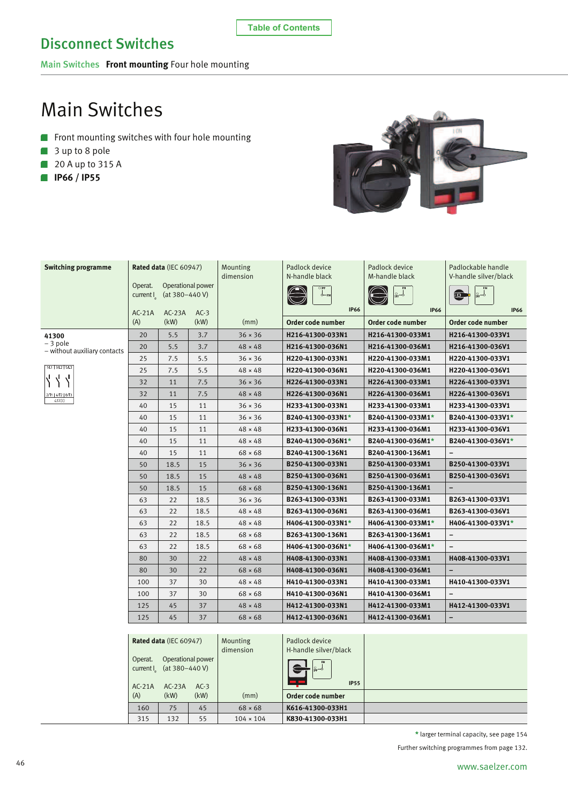**Table of Contents**

Main Switches **Front mounting** Four hole mounting

# Main Switches

- Front mounting switches with four hole mounting
- 3 up to 8 pole
- **20 A up to 315 A**
- **IP66 / IP55**



| <b>Switching programme</b>               |          | Rated data (IEC 60947)                        |                   | Mounting<br>dimension | Padlock device<br>N-handle black                                                                    | Padlock device<br>M-handle black | Padlockable handle<br>V-handle silver/black |
|------------------------------------------|----------|-----------------------------------------------|-------------------|-----------------------|-----------------------------------------------------------------------------------------------------|----------------------------------|---------------------------------------------|
|                                          | Operat.  |                                               | Operational power |                       |                                                                                                     |                                  |                                             |
|                                          | current  | (at $380 - 440$ V)                            |                   |                       | δ-N                                                                                                 |                                  | o<br>$\frac{1}{2}$                          |
|                                          | $AC-21A$ | $AC-23A$                                      | $AC-3$            |                       | <b>IP66</b>                                                                                         | <b>IP66</b>                      | <b>IP66</b>                                 |
|                                          | (A)      | (kW)                                          | (kW)              | (mm)                  | Order code number                                                                                   | Order code number                | Order code number                           |
| 41300                                    | 20       | 5.5                                           | 3.7               | $36 \times 36$        | H216-41300-033N1                                                                                    | H216-41300-033M1                 | H216-41300-033V1                            |
| – 3 pole<br>- without auxiliary contacts | 20       | 5.5                                           | 3.7               | $48 \times 48$        | H216-41300-036N1                                                                                    | H216-41300-036M1                 | H216-41300-036V1                            |
|                                          | 25       | 7.5                                           | 5.5               | $36 \times 36$        | H220-41300-033N1                                                                                    | H220-41300-033M1                 | H220-41300-033V1                            |
| 1/L1 3/L2 5/L3                           | 25       | 7.5                                           | 5.5               | $48 \times 48$        | H220-41300-036N1                                                                                    | H220-41300-036M1                 | H220-41300-036V1                            |
|                                          | 32       | 11                                            | 7.5               | $36 \times 36$        | H226-41300-033N1                                                                                    | H226-41300-033M1                 | H226-41300-033V1                            |
| 2/T1   4/T2   6/T3                       | 32       | 11                                            | 7.5               | $48 \times 48$        | H226-41300-036N1                                                                                    | H226-41300-036M1                 | H226-41300-036V1                            |
| 41300                                    | 40       | 15                                            | 11                | $36 \times 36$        | H233-41300-033N1                                                                                    | H233-41300-033M1                 | H233-41300-033V1                            |
|                                          | 40       | 15                                            | 11                | $36 \times 36$        | B240-41300-033N1*                                                                                   | B240-41300-033M1*                | B240-41300-033V1*                           |
|                                          | 40       | 15                                            | 11                | $48 \times 48$        | H233-41300-036N1                                                                                    | H233-41300-036M1                 | H233-41300-036V1                            |
|                                          | 40       | 15                                            | 11                | $48 \times 48$        | B240-41300-036N1*                                                                                   | B240-41300-036M1*                | B240-41300-036V1*                           |
|                                          | 40       | 15                                            | 11                | $68 \times 68$        | B240-41300-136N1                                                                                    | B240-41300-136M1                 |                                             |
|                                          | 50       | 18.5                                          | 15                | $36 \times 36$        | B250-41300-033N1                                                                                    | B250-41300-033M1                 | B250-41300-033V1                            |
|                                          | 50       | 18.5                                          | 15                | $48 \times 48$        | B250-41300-036N1                                                                                    | B250-41300-036M1                 | B250-41300-036V1                            |
|                                          | 50       | 18.5                                          | 15                | $68 \times 68$        | B250-41300-136N1                                                                                    | B250-41300-136M1                 |                                             |
|                                          | 63       | 22                                            | 18.5              | $36 \times 36$        | B263-41300-033N1                                                                                    | B263-41300-033M1                 | B263-41300-033V1                            |
|                                          | 63       | 22                                            | 18.5              | $48 \times 48$        | B263-41300-036N1                                                                                    | B263-41300-036M1                 | B263-41300-036V1                            |
|                                          | 63       | 22                                            | 18.5              | $48 \times 48$        | H406-41300-033N1*                                                                                   | H406-41300-033M1*                | H406-41300-033V1*                           |
|                                          | 63       | 22                                            | 18.5              | $68 \times 68$        | B263-41300-136N1                                                                                    | B263-41300-136M1                 | $\overline{\phantom{a}}$                    |
|                                          | 63       | 22                                            | 18.5              | $68 \times 68$        | H406-41300-036N1*                                                                                   | H406-41300-036M1*                | $\qquad \qquad -$                           |
|                                          | 80       | 30                                            | 22                | $48 \times 48$        | H408-41300-033N1                                                                                    | H408-41300-033M1                 | H408-41300-033V1                            |
|                                          | 80       | 30                                            | 22                | $68 \times 68$        | H408-41300-036N1                                                                                    | H408-41300-036M1                 |                                             |
|                                          | 100      | 37                                            | 30                | $48 \times 48$        | H410-41300-033N1                                                                                    | H410-41300-033M1                 | H410-41300-033V1                            |
|                                          | 100      | 37                                            | 30                | $68 \times 68$        | H410-41300-036N1                                                                                    | H410-41300-036M1                 |                                             |
|                                          | 125      | 45                                            | 37                | $48 \times 48$        | H412-41300-033N1                                                                                    | H412-41300-033M1                 | H412-41300-033V1                            |
|                                          | 125      | 45                                            | 37                | $68 \times 68$        | H412-41300-036N1                                                                                    | H412-41300-036M1                 | -                                           |
|                                          |          |                                               |                   |                       |                                                                                                     |                                  |                                             |
|                                          |          | Rated data (IEC 60947)                        |                   | Mounting              | Padlock device                                                                                      |                                  |                                             |
|                                          |          |                                               |                   | dimension             | H-handle silver/black                                                                               |                                  |                                             |
|                                          | Operat.  | Operational power<br>current $(at 380-440 V)$ |                   |                       | $\begin{array}{ c } \hline \text{R} & \text{N} \\ \hline \text{R} & \text{N} \\ \hline \end{array}$ |                                  |                                             |

| $AC-21A$ | current $\left[ \right]$ (at 380-440 V)<br>$AC-23A$ | $AC-3$ |                  | $\frac{1}{\sqrt{1+\frac{1}{2}}}$<br><b>IP55</b> |  |
|----------|-----------------------------------------------------|--------|------------------|-------------------------------------------------|--|
|          |                                                     |        |                  |                                                 |  |
| (A)      | (kW)                                                | (kW)   | (mm)             | Order code number                               |  |
| 160      | 75                                                  | 45     | $68 \times 68$   | K616-41300-033H1                                |  |
| 315      | 132                                                 | 55     | $104 \times 104$ | K830-41300-033H1                                |  |

**\*** larger terminal capacity, see page 154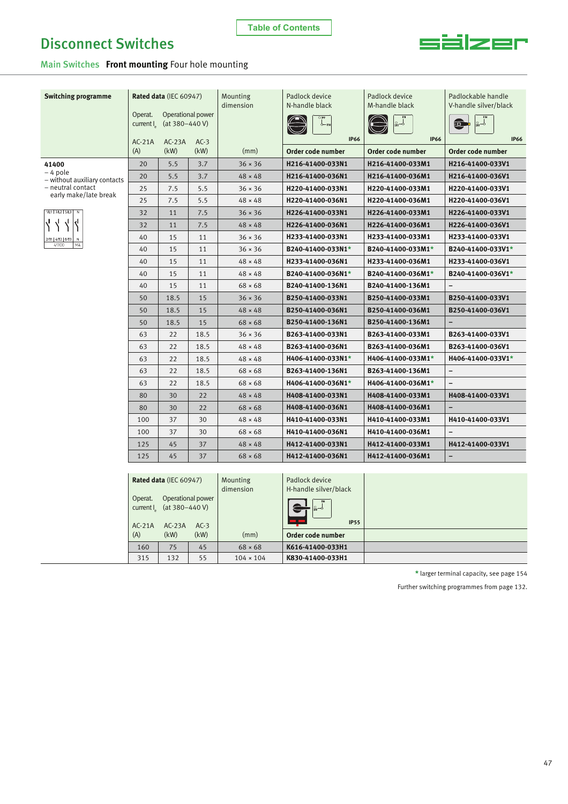

Main Switches **Front mounting** Four hole mounting

| <b>Switching programme</b>                        |                                                                                                     | Rated data (IEC 60947)              |                | Mounting<br>dimension            | Padlock device<br>N-handle black     | Padlock device<br>M-handle black     | Padlockable handle<br>V-handle silver/black |
|---------------------------------------------------|-----------------------------------------------------------------------------------------------------|-------------------------------------|----------------|----------------------------------|--------------------------------------|--------------------------------------|---------------------------------------------|
|                                                   | Operat.<br>current $I_{\alpha}$                                                                     | Operational power<br>(at 380-440 V) |                |                                  | <b>IP66</b>                          | <b>IP66</b>                          | $8 - 6$<br>Ξ<br><b>IP66</b>                 |
|                                                   | $AC-21A$                                                                                            | $AC-23A$                            | $AC-3$<br>(kW) |                                  |                                      |                                      |                                             |
|                                                   | (A)                                                                                                 | (kW)                                |                | (mm)                             | Order code number                    | Order code number                    | Order code number                           |
| 41400<br>-4 pole                                  | 20<br>20                                                                                            | 5.5<br>5.5                          | 3.7<br>3.7     | $36 \times 36$<br>$48 \times 48$ | H216-41400-033N1<br>H216-41400-036N1 | H216-41400-033M1<br>H216-41400-036M1 | H216-41400-033V1<br>H216-41400-036V1        |
| - without auxiliary contacts<br>- neutral contact |                                                                                                     |                                     |                |                                  |                                      |                                      |                                             |
| early make/late break                             | 25<br>25                                                                                            | 7.5                                 | 5.5            | $36 \times 36$                   | H220-41400-033N1                     | H220-41400-033M1                     | H220-41400-033V1                            |
| 1/L1 3/L2 5/L3<br>N                               |                                                                                                     | 7.5                                 | 5.5            | $48 \times 48$                   | H220-41400-036N1                     | H220-41400-036M1                     | H220-41400-036V1                            |
|                                                   | 32                                                                                                  | 11                                  | 7.5            | $36 \times 36$                   | H226-41400-033N1                     | H226-41400-033M1                     | H226-41400-033V1                            |
|                                                   | 32                                                                                                  | 11                                  | 7.5            | $48 \times 48$                   | H226-41400-036N1                     | H226-41400-036M1                     | H226-41400-036V1                            |
| 2/T1   4/T2   6/T<br>41300<br>MA                  | 40                                                                                                  | 15                                  | 11             | $36 \times 36$                   | H233-41400-033N1                     | H233-41400-033M1                     | H233-41400-033V1                            |
|                                                   | 40                                                                                                  | 15                                  | 11             | $36 \times 36$                   | B240-41400-033N1*                    | B240-41400-033M1*                    | B240-41400-033V1*                           |
|                                                   | 40                                                                                                  | 15                                  | 11             | $48 \times 48$                   | H233-41400-036N1                     | H233-41400-036M1                     | H233-41400-036V1                            |
|                                                   | 40                                                                                                  | 15                                  | 11             | $48 \times 48$                   | B240-41400-036N1*                    | B240-41400-036M1*                    | B240-41400-036V1*                           |
|                                                   | 40                                                                                                  | 15                                  | 11             | $68 \times 68$                   | B240-41400-136N1                     | B240-41400-136M1                     | $\overline{a}$                              |
|                                                   | 50                                                                                                  | 18.5                                | 15             | $36 \times 36$                   | B250-41400-033N1                     | B250-41400-033M1                     | B250-41400-033V1                            |
|                                                   | 50                                                                                                  | 18.5                                | 15             | $48 \times 48$                   | B250-41400-036N1                     | B250-41400-036M1                     | B250-41400-036V1                            |
|                                                   | 50                                                                                                  | 18.5                                | 15             | $68 \times 68$                   | B250-41400-136N1                     | B250-41400-136M1                     |                                             |
|                                                   | 63                                                                                                  | 22                                  | 18.5           | $36 \times 36$                   | B263-41400-033N1                     | B263-41400-033M1                     | B263-41400-033V1                            |
|                                                   | 63                                                                                                  | 22                                  | 18.5           | $48 \times 48$                   | B263-41400-036N1                     | B263-41400-036M1                     | B263-41400-036V1                            |
|                                                   | 63                                                                                                  | 22                                  | 18.5           | $48 \times 48$                   | H406-41400-033N1*                    | H406-41400-033M1*                    | H406-41400-033V1*                           |
|                                                   | 63                                                                                                  | 22                                  | 18.5           | $68 \times 68$                   | B263-41400-136N1                     | B263-41400-136M1                     |                                             |
|                                                   | 63                                                                                                  | 22                                  | 18.5           | $68 \times 68$                   | H406-41400-036N1*                    | H406-41400-036M1*                    | $\overline{a}$                              |
|                                                   | 80                                                                                                  | 30                                  | 22             | $48 \times 48$                   | H408-41400-033N1                     | H408-41400-033M1                     | H408-41400-033V1                            |
|                                                   | 80                                                                                                  | 30                                  | 22             | $68 \times 68$                   | H408-41400-036N1                     | H408-41400-036M1                     | -                                           |
|                                                   | 100                                                                                                 | 37                                  | 30             | $48 \times 48$                   | H410-41400-033N1                     | H410-41400-033M1                     | H410-41400-033V1                            |
|                                                   | 100                                                                                                 | 37                                  | 30             | $68 \times 68$                   | H410-41400-036N1                     | H410-41400-036M1                     | $\overline{\phantom{0}}$                    |
|                                                   | 125                                                                                                 | 45                                  | 37             | $48 \times 48$                   | H412-41400-033N1                     | H412-41400-033M1                     | H412-41400-033V1                            |
|                                                   | 125                                                                                                 | 45                                  | 37             | $68 \times 68$                   | H412-41400-036N1                     | H412-41400-036M1                     | -                                           |
|                                                   |                                                                                                     |                                     |                |                                  |                                      |                                      |                                             |
|                                                   |                                                                                                     | Rated data (IEC 60947)              |                | Mounting                         | Padlock device                       |                                      |                                             |
|                                                   |                                                                                                     |                                     |                | dimension                        | H-handle silver/black                |                                      |                                             |
|                                                   | Operat.<br>Operational power<br>(at $380 - 440$ V)<br>$current$ .<br>$AC-21A$<br>$AC-23A$<br>$AC-3$ |                                     |                |                                  |                                      |                                      |                                             |
|                                                   |                                                                                                     |                                     |                | <b>IP55</b>                      |                                      |                                      |                                             |
|                                                   | (A)                                                                                                 | (kW)                                | (kW)           | (mm)                             | Order code number                    |                                      |                                             |
|                                                   | 160                                                                                                 | 75                                  | 45             | $68 \times 68$                   | K616-41400-033H1                     |                                      |                                             |
|                                                   | 315                                                                                                 | 132                                 | 55             | $104 \times 104$                 | K830-41400-033H1                     |                                      |                                             |

**\*** larger terminal capacity, see page 154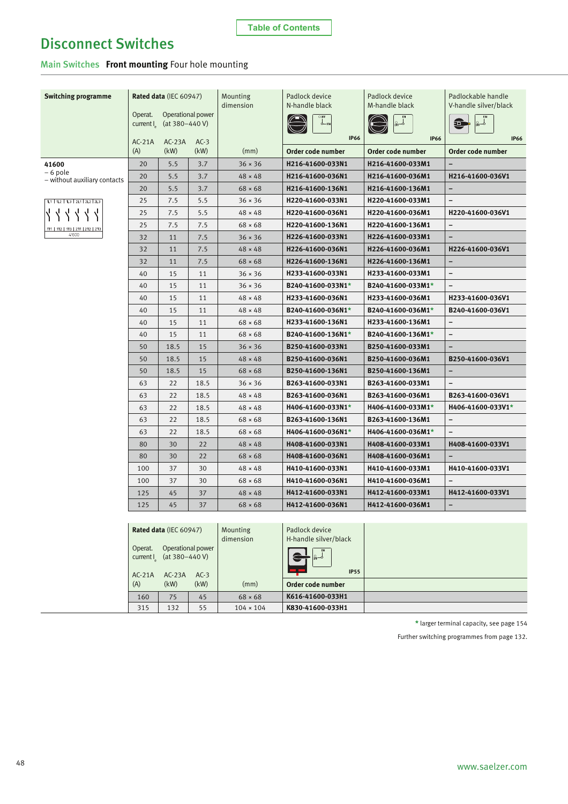### **Table of Contents**

## Disconnect Switches

Main Switches **Front mounting** Four hole mounting

| <b>Switching programme</b>        |                      | Rated data (IEC 60947)                              |                   | Mounting<br>dimension | Padlock device<br>N-handle black | Padlock device<br>M-handle black | Padlockable handle<br>V-handle silver/black |
|-----------------------------------|----------------------|-----------------------------------------------------|-------------------|-----------------------|----------------------------------|----------------------------------|---------------------------------------------|
|                                   | Operat.<br>current I | (at $380 - 440$ V)                                  | Operational power |                       | $\infty$<br><b>IP66</b>          | <b>IP66</b>                      | ା<br>ଜ⊧⊸<br>$\blacksquare$<br><b>IP66</b>   |
|                                   | $AC-21A$<br>(A)      | $AC-23A$<br>(kW)                                    | $AC-3$<br>(kW)    | (mm)                  | Order code number                | Order code number                | Order code number                           |
|                                   |                      |                                                     |                   |                       |                                  |                                  |                                             |
| 41600<br>– 6 pole                 | 20                   | 5.5                                                 | 3.7               | $36 \times 36$        | H216-41600-033N1                 | H216-41600-033M1                 |                                             |
| - without auxiliary contacts      | 20                   | 5.5                                                 | 3.7               | $48 \times 48$        | H216-41600-036N1                 | H216-41600-036M1                 | H216-41600-036V1                            |
|                                   | 20                   | 5.5                                                 | 3.7               | $68 \times 68$        | H216-41600-136N1                 | H216-41600-136M1                 | $\overline{a}$                              |
| 1L1   1L2   1L3   2L1   2L2   2L3 | 25                   | 7.5                                                 | 5.5               | $36 \times 36$        | H220-41600-033N1                 | H220-41600-033M1                 | $\overline{\phantom{0}}$                    |
|                                   | 25                   | 7.5                                                 | 5.5               | $48 \times 48$        | H220-41600-036N1                 | H220-41600-036M1                 | H220-41600-036V1                            |
| 1T1   1T2   1T3   2T1   2T2   2T3 | 25                   | 7.5                                                 | 7.5               | $68 \times 68$        | H220-41600-136N1                 | H220-41600-136M1                 | $\overline{\phantom{0}}$                    |
| 41600                             | 32                   | 11                                                  | 7.5               | $36 \times 36$        | H226-41600-033N1                 | H226-41600-033M1                 | ۳                                           |
|                                   | 32                   | 11                                                  | 7.5               | $48 \times 48$        | H226-41600-036N1                 | H226-41600-036M1                 | H226-41600-036V1                            |
|                                   | 32                   | 11                                                  | 7.5               | $68 \times 68$        | H226-41600-136N1                 | H226-41600-136M1                 | $\qquad \qquad -$                           |
|                                   | 40                   | 15                                                  | 11                | $36 \times 36$        | H233-41600-033N1                 | H233-41600-033M1                 | $\qquad \qquad -$                           |
|                                   | 40                   | 15                                                  | 11                | $36 \times 36$        | B240-41600-033N1*                | B240-41600-033M1*                |                                             |
|                                   | 40                   | 15                                                  | 11                | $48 \times 48$        | H233-41600-036N1                 | H233-41600-036M1                 | H233-41600-036V1                            |
|                                   | 40                   | 15                                                  | 11                | $48 \times 48$        | B240-41600-036N1*                | B240-41600-036M1*                | B240-41600-036V1                            |
|                                   | 40                   | 15                                                  | 11                | $68 \times 68$        | H233-41600-136N1                 | H233-41600-136M1                 | $\overline{\phantom{0}}$                    |
|                                   | 40                   | 15                                                  | 11                | $68 \times 68$        | B240-41600-136N1*                | B240-41600-136M1*                | $\overline{\phantom{a}}$                    |
|                                   | 50                   | 18.5                                                | 15                | $36 \times 36$        | B250-41600-033N1                 | B250-41600-033M1                 |                                             |
|                                   | 50                   | 18.5                                                | 15                | $48 \times 48$        | B250-41600-036N1                 | B250-41600-036M1                 | B250-41600-036V1                            |
|                                   | 50                   | 18.5                                                | 15                | $68 \times 68$        | B250-41600-136N1                 | B250-41600-136M1                 | $\overline{\phantom{0}}$                    |
|                                   | 63                   | 22                                                  | 18.5              | $36 \times 36$        | B263-41600-033N1                 | B263-41600-033M1                 | $\qquad \qquad -$                           |
|                                   | 63                   | 22                                                  | 18.5              | $48 \times 48$        | B263-41600-036N1                 | B263-41600-036M1                 | B263-41600-036V1                            |
|                                   | 63                   | 22                                                  | 18.5              | $48 \times 48$        | H406-41600-033N1*                | H406-41600-033M1*                | H406-41600-033V1*                           |
|                                   | 63                   | 22                                                  | 18.5              | $68 \times 68$        | B263-41600-136N1                 | B263-41600-136M1                 | $\overline{\phantom{0}}$                    |
|                                   | 63                   | 22                                                  | 18.5              | $68 \times 68$        | H406-41600-036N1*                | H406-41600-036M1*                | $\overline{\phantom{0}}$                    |
|                                   | 80                   | 30                                                  | 22                | $48 \times 48$        | H408-41600-033N1                 | H408-41600-033M1                 | H408-41600-033V1                            |
|                                   | 80                   | 30                                                  | 22                | $68 \times 68$        | H408-41600-036N1                 | H408-41600-036M1                 |                                             |
|                                   | 100                  | 37                                                  | 30                | $48 \times 48$        | H410-41600-033N1                 | H410-41600-033M1                 | H410-41600-033V1                            |
|                                   | 100                  | 37                                                  | 30                | $68 \times 68$        | H410-41600-036N1                 | H410-41600-036M1                 | $\overline{\phantom{0}}$                    |
|                                   | 125                  | 45                                                  | 37                | $48 \times 48$        | H412-41600-033N1                 | H412-41600-033M1                 | H412-41600-033V1                            |
|                                   | 125                  | 45                                                  | 37                | $68 \times 68$        | H412-41600-036N1                 | H412-41600-036M1                 | $\overline{\phantom{0}}$                    |
|                                   |                      |                                                     |                   |                       |                                  |                                  |                                             |
|                                   |                      | Rated data (IEC 60947)                              |                   | Mounting              | Padlock device                   |                                  |                                             |
|                                   |                      |                                                     |                   | dimension             | H-handle silver/black            |                                  |                                             |
|                                   | Operat.              | Operational power<br>$C(1)$ $(1)$ $(1)$ $(1)$ $(1)$ |                   |                       | 。。<br>$\blacksquare$             |                                  |                                             |

| Operat.<br>current I<br>$AC-21A$ | Operational power<br>(at 380–440 V)<br>$AC-23A$ | $AC-3$ |                  | )ေန<br><b>IP55</b> |  |
|----------------------------------|-------------------------------------------------|--------|------------------|--------------------|--|
| (A)                              | (kW)                                            | (kW)   | (mm)             | Order code number  |  |
| 160                              | 75                                              | 45     | $68 \times 68$   | K616-41600-033H1   |  |
| 315                              | 132                                             | 55     | $104 \times 104$ | K830-41600-033H1   |  |

**\*** larger terminal capacity, see page 154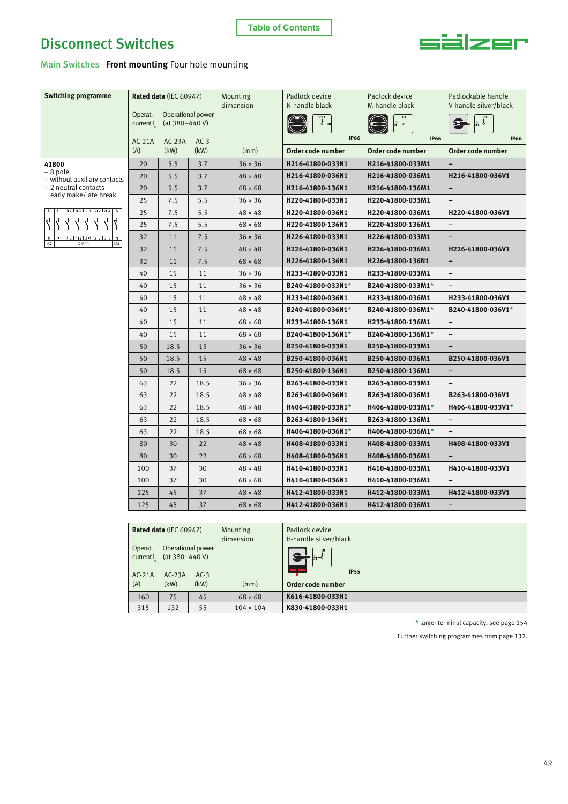

Main Switches **Front mounting** Four hole mounting

160 75 45 68 × 68 **K616-41800-033H1** 315 132 55 104 × 104 **K830-41800-033H1**

| <b>Switching programme</b>                                   |                                 | Rated data (IEC 60947) |                   | Mounting<br>dimension | Padlock device<br>N-handle black        | Padlock device<br>M-handle black | Padlockable handle<br>V-handle silver/black |
|--------------------------------------------------------------|---------------------------------|------------------------|-------------------|-----------------------|-----------------------------------------|----------------------------------|---------------------------------------------|
|                                                              | Operat.<br>current <sub>2</sub> | (at $380 - 440$ V)     | Operational power |                       | φ-αν<br><b>IP66</b>                     | <b>IP66</b>                      | $\Box$<br> சூ⊸<br><b>IP66</b>               |
|                                                              | $AC-21A$<br>(A)                 | $AC-23A$<br>(kW)       | $AC-3$<br>(kW)    | (mm)                  | Order code number                       | Order code number                | Order code number                           |
| 41800                                                        | 20                              | 5.5                    | 3.7               | $36 \times 36$        | H216-41800-033N1                        | H216-41800-033M1                 |                                             |
| $-8$ pole                                                    | 20                              | 5.5                    | 3.7               | $48 \times 48$        | H216-41800-036N1                        | H216-41800-036M1                 | H216-41800-036V1                            |
| - without auxiliary contacts<br>- 2 neutral contacts         | 20                              | 5.5                    | 3.7               | $68 \times 68$        | H216-41800-136N1                        | H216-41800-136M1                 | -                                           |
| early make/late break                                        | 25                              | 7.5                    | 5.5               | $36 \times 36$        | H220-41800-033N1                        | H220-41800-033M1                 | $\overline{\phantom{a}}$                    |
| N   1L1   1L2   1L3   2L1   2L2   2L3   N                    | 25                              | 7.5                    | 5.5               | $48 \times 48$        | H220-41800-036N1                        | H220-41800-036M1                 | H220-41800-036V1                            |
|                                                              | 25                              | 7.5                    | 5.5               | $68 \times 68$        | H220-41800-136N1                        | H220-41800-136M1                 | $\qquad \qquad -$                           |
|                                                              | 32                              | 11                     | 7.5               | $36 \times 36$        | H226-41800-033N1                        | H226-41800-033M1                 |                                             |
| 1T1   1T2   1T3   2T1   2T2   2T3<br>N.<br>MA<br>41600<br>МA | 32                              | 11                     | 7.5               | $48 \times 48$        | H226-41800-036N1                        | H226-41800-036M1                 | H226-41800-036V1                            |
|                                                              | 32                              | 11                     | 7.5               | $68 \times 68$        | H226-41800-136N1                        | H226-41800-136N1                 | $\qquad \qquad$                             |
|                                                              | 40                              | 15                     | 11                | $36 \times 36$        | H233-41800-033N1                        | H233-41800-033M1                 | $\qquad \qquad -$                           |
|                                                              | 40                              | 15                     | 11                | $36 \times 36$        | B240-41800-033N1*                       | B240-41800-033M1*                |                                             |
|                                                              | 40                              | 15                     | 11                | $48 \times 48$        | H233-41800-036N1                        | H233-41800-036M1                 | H233-41800-036V1                            |
|                                                              | 40                              | 15                     | 11                | $48 \times 48$        | B240-41800-036N1*                       | B240-41800-036M1*                | B240-41800-036V1*                           |
|                                                              | 40                              | 15                     | 11                | $68 \times 68$        | H233-41800-136N1                        | H233-41800-136M1                 | $\qquad \qquad -$                           |
|                                                              | 40                              | 15                     | 11                | $68 \times 68$        | B240-41800-136N1*                       | B240-41800-136M1*                |                                             |
|                                                              | 50                              | 18.5                   | 15                | $36 \times 36$        | B250-41800-033N1                        | B250-41800-033M1                 |                                             |
|                                                              | 50                              | 18.5                   | 15                | $48 \times 48$        | B250-41800-036N1                        | B250-41800-036M1                 | B250-41800-036V1                            |
|                                                              | 50                              | 18.5                   | 15                | $68 \times 68$        | B250-41800-136N1                        | B250-41800-136M1                 | $\overline{a}$                              |
|                                                              | 63                              | 22                     | 18.5              | $36 \times 36$        | B263-41800-033N1                        | B263-41800-033M1                 | $\qquad \qquad -$                           |
|                                                              | 63                              | 22                     | 18.5              | $48 \times 48$        | B263-41800-036N1                        | B263-41800-036M1                 | B263-41800-036V1                            |
|                                                              | 63                              | 22                     | 18.5              | $48 \times 48$        | H406-41800-033N1*                       | H406-41800-033M1*                | H406-41800-033V1*                           |
|                                                              | 63                              | 22                     | 18.5              | $68 \times 68$        | B263-41800-136N1                        | B263-41800-136M1                 | $\qquad \qquad -$                           |
|                                                              | 63                              | 22                     | 18.5              | $68 \times 68$        | H406-41800-036N1*                       | H406-41800-036M1*                |                                             |
|                                                              | 80                              | 30                     | 22                | $48 \times 48$        | H408-41800-033N1                        | H408-41800-033M1                 | H408-41800-033V1                            |
|                                                              | 80                              | 30                     | 22                | $68 \times 68$        | H408-41800-036N1                        | H408-41800-036M1                 |                                             |
|                                                              | 100                             | 37                     | 30                | $48 \times 48$        | H410-41800-033N1                        | H410-41800-033M1                 | H410-41800-033V1                            |
|                                                              | 100                             | 37                     | 30                | $68 \times 68$        | H410-41800-036N1                        | H410-41800-036M1                 |                                             |
|                                                              | 125                             | 45                     | 37                | $48 \times 48$        | H412-41800-033N1                        | H412-41800-033M1                 | H412-41800-033V1                            |
|                                                              | 125                             | 45                     | 37                | $68 \times 68$        | H412-41800-036N1                        | H412-41800-036M1                 | $\qquad \qquad -$                           |
|                                                              |                                 |                        |                   |                       |                                         |                                  |                                             |
|                                                              |                                 | Rated data (IEC 60947) |                   | Mounting<br>dimension | Padlock device<br>H-handle silver/black |                                  |                                             |
|                                                              | Operat.<br>current I            | (at 380-440 V)         | Operational power |                       | <b>IP55</b>                             |                                  |                                             |
|                                                              | $AC-21A$<br>(A)                 | $AC-23A$<br>(kW)       | $AC-3$<br>(kW)    | (mm)                  | Order code number                       |                                  |                                             |

**\*** larger terminal capacity, see page 154